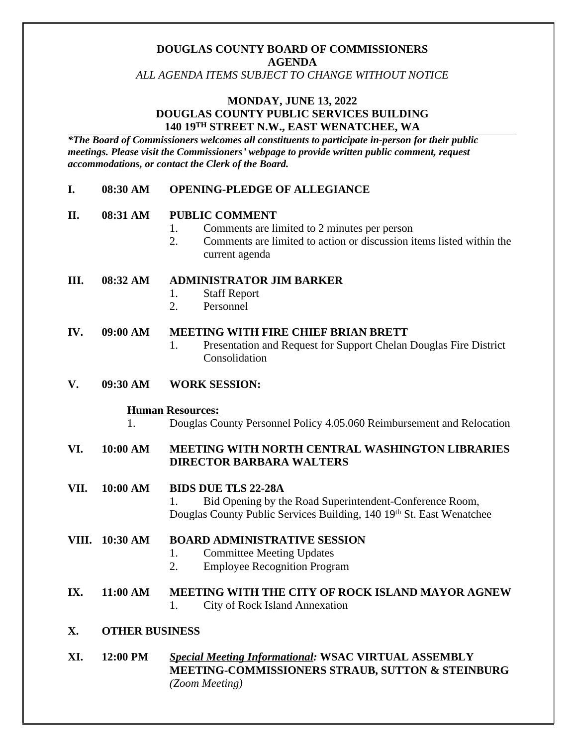# **DOUGLAS COUNTY BOARD OF COMMISSIONERS AGENDA**

*ALL AGENDA ITEMS SUBJECT TO CHANGE WITHOUT NOTICE*

### **MONDAY, JUNE 13, 2022 DOUGLAS COUNTY PUBLIC SERVICES BUILDING 140 19TH STREET N.W., EAST WENATCHEE, WA**

*\*The Board of Commissioners welcomes all constituents to participate in-person for their public meetings. Please visit the Commissioners' webpage to provide written public comment, request accommodations, or contact the Clerk of the Board.* 

### **I. 08:30 AM OPENING-PLEDGE OF ALLEGIANCE**

### **II. 08:31 AM PUBLIC COMMENT**

- 1. Comments are limited to 2 minutes per person
- 2. Comments are limited to action or discussion items listed within the current agenda

### **III. 08:32 AM ADMINISTRATOR JIM BARKER**

- 1. Staff Report
- 2. Personnel

#### **IV. 09:00 AM MEETING WITH FIRE CHIEF BRIAN BRETT**

- 1. Presentation and Request for Support Chelan Douglas Fire District Consolidation
- **V. 09:30 AM WORK SESSION:**

#### **Human Resources:**

1. Douglas County Personnel Policy 4.05.060 Reimbursement and Relocation

# **VI. 10:00 AM MEETING WITH NORTH CENTRAL WASHINGTON LIBRARIES DIRECTOR BARBARA WALTERS**

**VII. 10:00 AM BIDS DUE TLS 22-28A**

1. Bid Opening by the Road Superintendent-Conference Room, Douglas County Public Services Building, 140 19th St. East Wenatchee

# **VIII. 10:30 AM BOARD ADMINISTRATIVE SESSION**

- 1. Committee Meeting Updates
- 2. Employee Recognition Program

#### **IX. 11:00 AM MEETING WITH THE CITY OF ROCK ISLAND MAYOR AGNEW** 1. City of Rock Island Annexation

#### **X. OTHER BUSINESS**

**XI. 12:00 PM** *Special Meeting Informational:* **WSAC VIRTUAL ASSEMBLY MEETING-COMMISSIONERS STRAUB, SUTTON & STEINBURG**  *(Zoom Meeting)*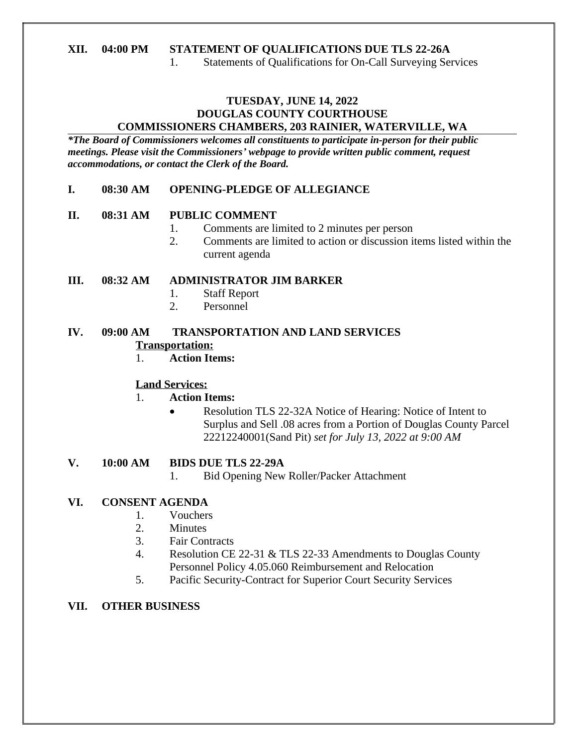# **XII. 04:00 PM STATEMENT OF QUALIFICATIONS DUE TLS 22-26A**

1. Statements of Qualifications for On-Call Surveying Services

### **TUESDAY, JUNE 14, 2022 DOUGLAS COUNTY COURTHOUSE COMMISSIONERS CHAMBERS, 203 RAINIER, WATERVILLE, WA**

*\*The Board of Commissioners welcomes all constituents to participate in-person for their public meetings. Please visit the Commissioners' webpage to provide written public comment, request accommodations, or contact the Clerk of the Board.*

### **I. 08:30 AM OPENING-PLEDGE OF ALLEGIANCE**

### **II. 08:31 AM PUBLIC COMMENT**

- 1. Comments are limited to 2 minutes per person
- 2. Comments are limited to action or discussion items listed within the current agenda

### **III. 08:32 AM ADMINISTRATOR JIM BARKER**

- 1. Staff Report
- 2. Personnel

# **IV. 09:00 AM TRANSPORTATION AND LAND SERVICES Transportation:**

1. **Action Items:**

# **Land Services:**

- 1. **Action Items:**
	- Resolution TLS 22-32A Notice of Hearing: Notice of Intent to Surplus and Sell .08 acres from a Portion of Douglas County Parcel 22212240001(Sand Pit) *set for July 13, 2022 at 9:00 AM*
- **V. 10:00 AM BIDS DUE TLS 22-29A**
	- 1. Bid Opening New Roller/Packer Attachment

# **VI. CONSENT AGENDA**

- 1. Vouchers
- 2. Minutes
- 3. Fair Contracts
- 4. Resolution CE 22-31 & TLS 22-33 Amendments to Douglas County Personnel Policy 4.05.060 Reimbursement and Relocation
- 5. Pacific Security-Contract for Superior Court Security Services

# **VII. OTHER BUSINESS**